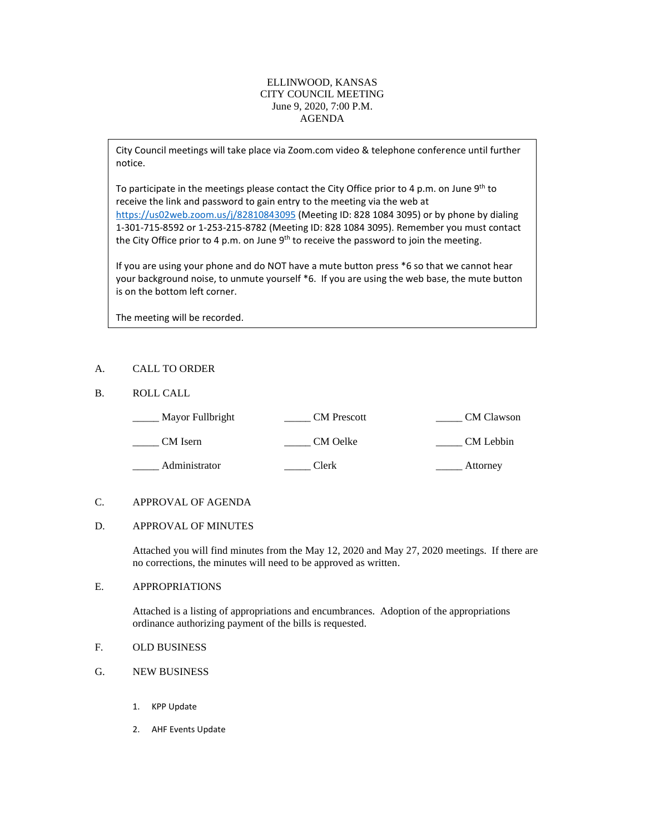## ELLINWOOD, KANSAS CITY COUNCIL MEETING June 9, 2020, 7:00 P.M. AGENDA

City Council meetings will take place via Zoom.com video & telephone conference until further notice.

To participate in the meetings please contact the City Office prior to 4 p.m. on June 9<sup>th</sup> to receive the link and password to gain entry to the meeting via the web at [https://us02web.zoom.us/j/82810843095](https://us02web.zoom.us/j/8281084309) (Meeting ID: 828 1084 3095) or by phone by dialing 1-301-715-8592 or 1-253-215-8782 (Meeting ID: 828 1084 3095). Remember you must contact the City Office prior to 4 p.m. on June 9<sup>th</sup> to receive the password to join the meeting.

If you are using your phone and do NOT have a mute button press \*6 so that we cannot hear your background noise, to unmute yourself \*6. If you are using the web base, the mute button is on the bottom left corner.

The meeting will be recorded.

## A. CALL TO ORDER

## B. ROLL CALL

| Mayor Fullbright | <b>CM</b> Prescott | <b>CM</b> Clawson |
|------------------|--------------------|-------------------|
| CM Isern         | CM Oelke           | CM Lebbin         |
| Administrator    | Clerk              | Attorney          |

#### C. APPROVAL OF AGENDA

#### D. APPROVAL OF MINUTES

Attached you will find minutes from the May 12, 2020 and May 27, 2020 meetings. If there are no corrections, the minutes will need to be approved as written.

### E. APPROPRIATIONS

Attached is a listing of appropriations and encumbrances. Adoption of the appropriations ordinance authorizing payment of the bills is requested.

- F. OLD BUSINESS
- G. NEW BUSINESS
	- 1. KPP Update
	- 2. AHF Events Update